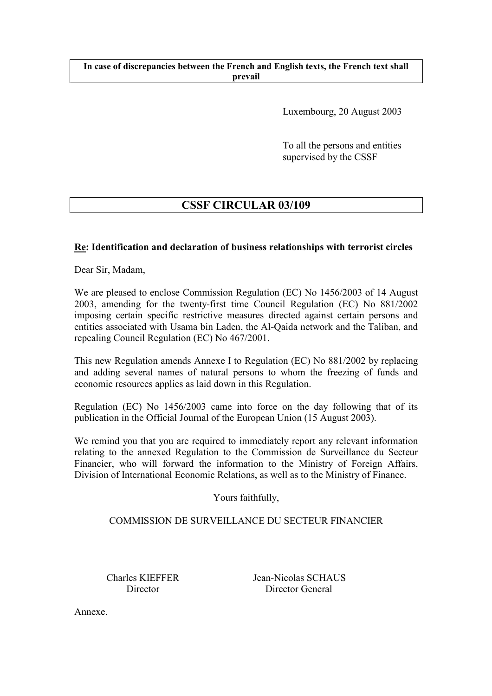### **In case of discrepancies between the French and English texts, the French text shall prevail**

Luxembourg, 20 August 2003

To all the persons and entities supervised by the CSSF

# **CSSF CIRCULAR 03/109**

# **Re: Identification and declaration of business relationships with terrorist circles**

Dear Sir, Madam,

We are pleased to enclose Commission Regulation (EC) No 1456/2003 of 14 August 2003, amending for the twenty-first time Council Regulation (EC) No 881/2002 imposing certain specific restrictive measures directed against certain persons and entities associated with Usama bin Laden, the Al-Qaida network and the Taliban, and repealing Council Regulation (EC) No 467/2001.

This new Regulation amends Annexe I to Regulation (EC) No 881/2002 by replacing and adding several names of natural persons to whom the freezing of funds and economic resources applies as laid down in this Regulation.

Regulation (EC) No 1456/2003 came into force on the day following that of its publication in the Official Journal of the European Union (15 August 2003).

We remind you that you are required to immediately report any relevant information relating to the annexed Regulation to the Commission de Surveillance du Secteur Financier, who will forward the information to the Ministry of Foreign Affairs, Division of International Economic Relations, as well as to the Ministry of Finance.

Yours faithfully,

## COMMISSION DE SURVEILLANCE DU SECTEUR FINANCIER

 Charles KIEFFER Jean-Nicolas SCHAUS Director Director General

Annexe.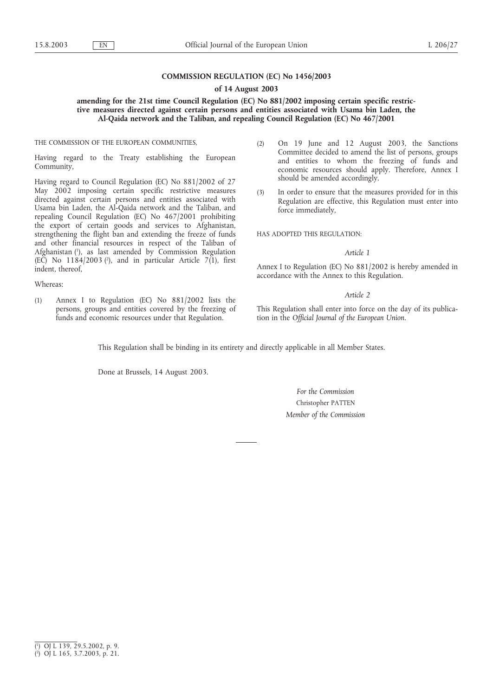### **COMMISSION REGULATION (EC) No 1456/2003**

#### **of 14 August 2003**

### **amending for the 21st time Council Regulation (EC) No 881/2002 imposing certain specific restrictive measures directed against certain persons and entities associated with Usama bin Laden, the Al-Qaida network and the Taliban, and repealing Council Regulation (EC) No 467/2001**

THE COMMISSION OF THE EUROPEAN COMMUNITIES,

Having regard to the Treaty establishing the European Community,

Having regard to Council Regulation (EC) No 881/2002 of 27 May 2002 imposing certain specific restrictive measures directed against certain persons and entities associated with Usama bin Laden, the Al-Qaida network and the Taliban, and repealing Council Regulation (EC) No 467/2001 prohibiting the export of certain goods and services to Afghanistan, strengthening the flight ban and extending the freeze of funds and other financial resources in respect of the Taliban of Afghanistan (1), as last amended by Commission Regulation (EC) No  $1184/2003$  ( $^2$ ), and in particular Article 7(1), first indent, thereof,

Whereas:

(1) Annex I to Regulation (EC) No 881/2002 lists the persons, groups and entities covered by the freezing of funds and economic resources under that Regulation.

- (2) On 19 June and 12 August 2003, the Sanctions Committee decided to amend the list of persons, groups and entities to whom the freezing of funds and economic resources should apply. Therefore, Annex I should be amended accordingly.
- (3) In order to ensure that the measures provided for in this Regulation are effective, this Regulation must enter into force immediately,

HAS ADOPTED THIS REGULATION:

#### *Article 1*

Annex I to Regulation (EC) No 881/2002 is hereby amended in accordance with the Annex to this Regulation.

#### *Article 2*

This Regulation shall enter into force on the day of its publication in the *Official Journal of the European Union*.

This Regulation shall be binding in its entirety and directly applicable in all Member States.

Done at Brussels, 14 August 2003.

*For the Commission* Christopher PATTEN *Member of the Commission*

<sup>(</sup> 1 ) OJ L 139, 29.5.2002, p. 9. ( 2 ) OJ L 165, 3.7.2003, p. 21.